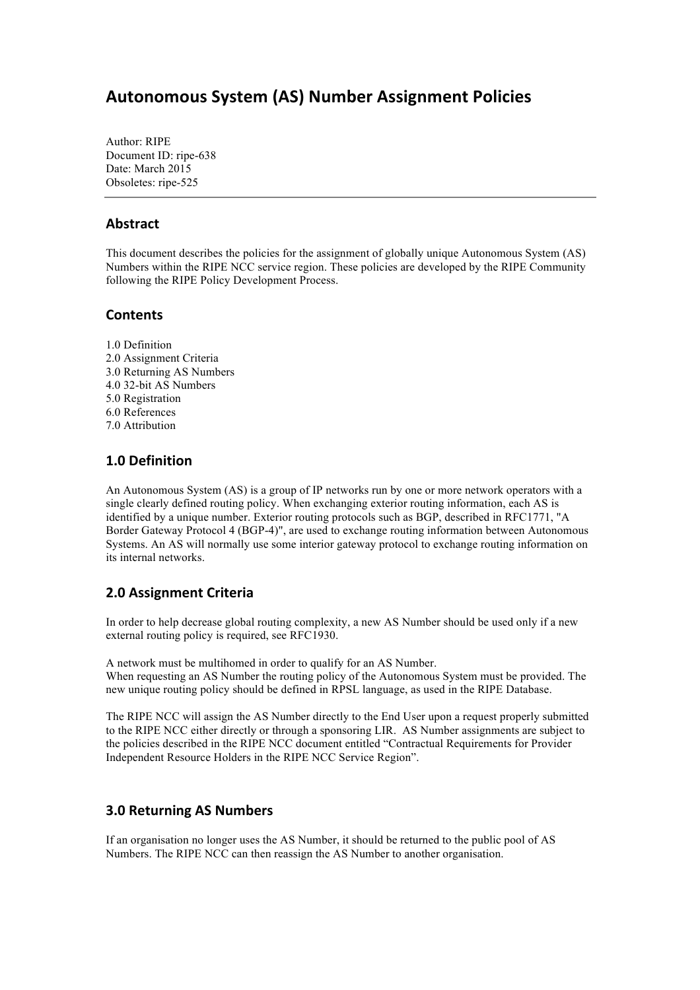# **Autonomous System (AS) Number Assignment Policies**

Author: RIPE Document ID: ripe-638 Date: March 2015 Obsoletes: ripe-525

### **Abstract**

This document describes the policies for the assignment of globally unique Autonomous System (AS) Numbers within the RIPE NCC service region. These policies are developed by the RIPE Community following the RIPE Policy Development Process.

#### **Contents**

1.0 Definition 2.0 Assignment Criteria 3.0 Returning AS Numbers 4.0 32-bit AS Numbers 5.0 Registration 6.0 References 7.0 Attribution

### **1.0 Definition**

An Autonomous System (AS) is a group of IP networks run by one or more network operators with a single clearly defined routing policy. When exchanging exterior routing information, each AS is identified by a unique number. Exterior routing protocols such as BGP, described in RFC1771, "A Border Gateway Protocol 4 (BGP-4)", are used to exchange routing information between Autonomous Systems. An AS will normally use some interior gateway protocol to exchange routing information on its internal networks.

### **2.0 Assignment Criteria**

In order to help decrease global routing complexity, a new AS Number should be used only if a new external routing policy is required, see RFC1930.

A network must be multihomed in order to qualify for an AS Number. When requesting an AS Number the routing policy of the Autonomous System must be provided. The new unique routing policy should be defined in RPSL language, as used in the RIPE Database.

The RIPE NCC will assign the AS Number directly to the End User upon a request properly submitted to the RIPE NCC either directly or through a sponsoring LIR. AS Number assignments are subject to the policies described in the RIPE NCC document entitled "Contractual Requirements for Provider Independent Resource Holders in the RIPE NCC Service Region".

### **3.0 Returning AS Numbers**

If an organisation no longer uses the AS Number, it should be returned to the public pool of AS Numbers. The RIPE NCC can then reassign the AS Number to another organisation.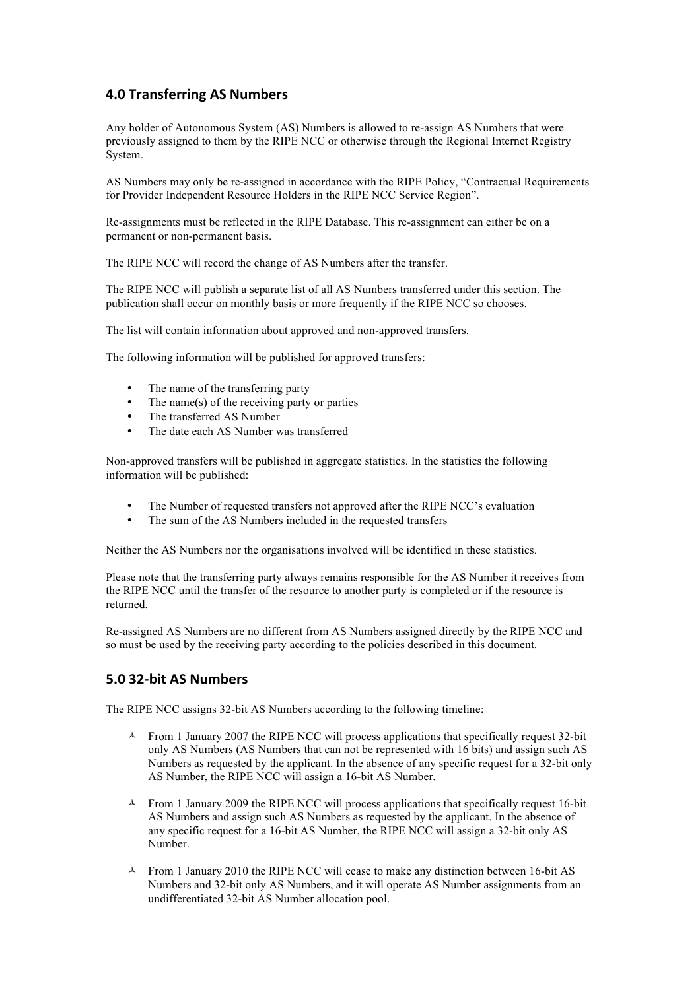## **4.0 Transferring AS Numbers**

Any holder of Autonomous System (AS) Numbers is allowed to re-assign AS Numbers that were previously assigned to them by the RIPE NCC or otherwise through the Regional Internet Registry System.

AS Numbers may only be re-assigned in accordance with the RIPE Policy, "Contractual Requirements for Provider Independent Resource Holders in the RIPE NCC Service Region".

Re-assignments must be reflected in the RIPE Database. This re-assignment can either be on a permanent or non-permanent basis.

The RIPE NCC will record the change of AS Numbers after the transfer.

The RIPE NCC will publish a separate list of all AS Numbers transferred under this section. The publication shall occur on monthly basis or more frequently if the RIPE NCC so chooses.

The list will contain information about approved and non-approved transfers.

The following information will be published for approved transfers:

- The name of the transferring party
- The name(s) of the receiving party or parties
- The transferred AS Number
- The date each AS Number was transferred

Non-approved transfers will be published in aggregate statistics. In the statistics the following information will be published:

- The Number of requested transfers not approved after the RIPE NCC's evaluation
- The sum of the AS Numbers included in the requested transfers

Neither the AS Numbers nor the organisations involved will be identified in these statistics.

Please note that the transferring party always remains responsible for the AS Number it receives from the RIPE NCC until the transfer of the resource to another party is completed or if the resource is returned.

Re-assigned AS Numbers are no different from AS Numbers assigned directly by the RIPE NCC and so must be used by the receiving party according to the policies described in this document.

### **5.0 32-bit AS Numbers**

The RIPE NCC assigns 32-bit AS Numbers according to the following timeline:

- ! From 1 January 2007 the RIPE NCC will process applications that specifically request 32-bit only AS Numbers (AS Numbers that can not be represented with 16 bits) and assign such AS Numbers as requested by the applicant. In the absence of any specific request for a 32-bit only AS Number, the RIPE NCC will assign a 16-bit AS Number.
- $\uparrow$  From 1 January 2009 the RIPE NCC will process applications that specifically request 16-bit AS Numbers and assign such AS Numbers as requested by the applicant. In the absence of any specific request for a 16-bit AS Number, the RIPE NCC will assign a 32-bit only AS Number.
- ! From 1 January 2010 the RIPE NCC will cease to make any distinction between 16-bit AS Numbers and 32-bit only AS Numbers, and it will operate AS Number assignments from an undifferentiated 32-bit AS Number allocation pool.